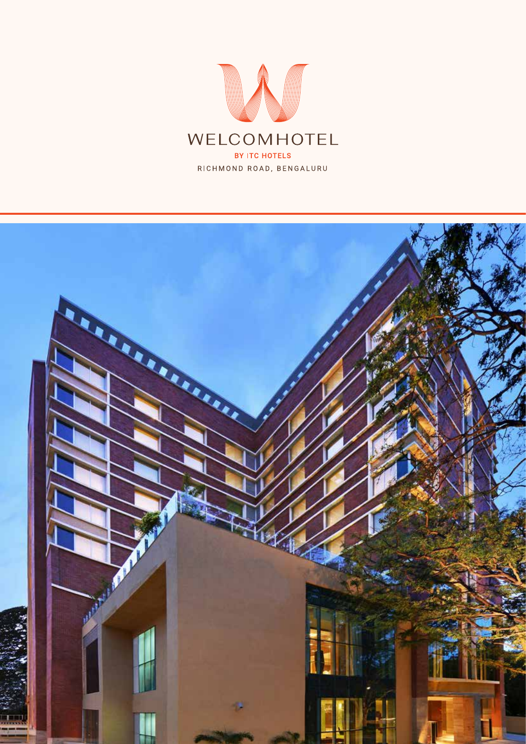

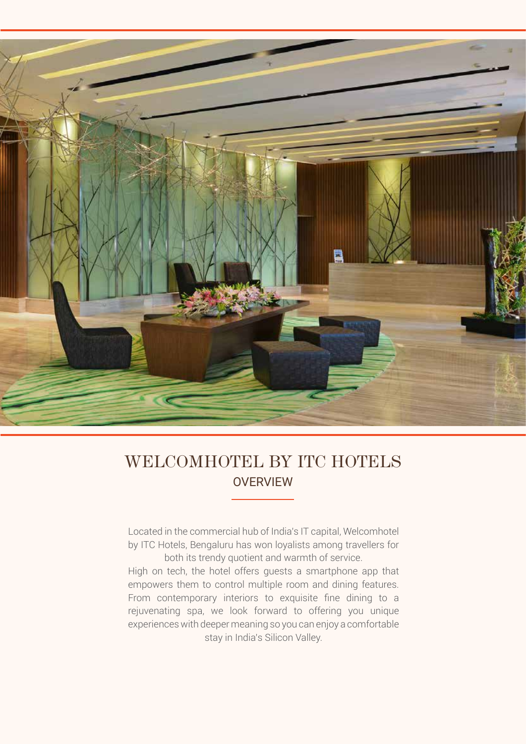

## **OVERVIEW** WELCOMHOTEL BY ITC HOTELS

Located in the commercial hub of India's IT capital, Welcomhotel by ITC Hotels, Bengaluru has won loyalists among travellers for both its trendy quotient and warmth of service.

High on tech, the hotel offers guests a smartphone app that empowers them to control multiple room and dining features. From contemporary interiors to exquisite fine dining to a rejuvenating spa, we look forward to offering you unique experiences with deeper meaning so you can enjoy a comfortable stay in India's Silicon Valley.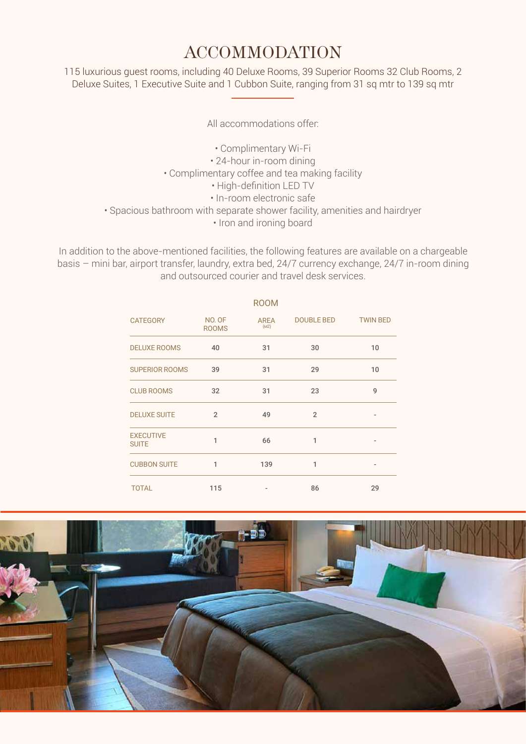## ACCOMMODATION

115 luxurious guest rooms, including 40 Deluxe Rooms, 39 Superior Rooms 32 Club Rooms, 2 Deluxe Suites, 1 Executive Suite and 1 Cubbon Suite, ranging from 31 sq mtr to 139 sq mtr

All accommodations offer:

- Complimentary Wi-Fi
- 24-hour in-room dining
- Complimentary coffee and tea making facility
	- High-definition LED TV
	- In-room electronic safe
- Spacious bathroom with separate shower facility, amenities and hairdryer
	- Iron and ironing board

In addition to the above-mentioned facilities, the following features are available on a chargeable basis – mini bar, airport transfer, laundry, extra bed, 24/7 currency exchange, 24/7 in-room dining and outsourced courier and travel desk services.

|                                  |                        | <b>ROOM</b>  |                |                 |
|----------------------------------|------------------------|--------------|----------------|-----------------|
| <b>CATEGORY</b>                  | NO. OF<br><b>ROOMS</b> | AREA<br>(M2) | DOUBLE BED     | <b>TWIN BED</b> |
| <b>DELUXE ROOMS</b>              | 40                     | 31           | 30             | 10              |
| <b>SUPERIOR ROOMS</b>            | 39                     | 31           | 29             | 10              |
| <b>CLUB ROOMS</b>                | 32                     | 31           | 23             | 9               |
| <b>DELUXE SUITE</b>              | $\overline{2}$         | 49           | $\overline{2}$ |                 |
| <b>EXECUTIVE</b><br><b>SUITE</b> | 1                      | 66           | 1              |                 |
| <b>CUBBON SUITE</b>              | 1                      | 139          | 1              |                 |
| <b>TOTAL</b>                     | 115                    |              | 86             | 29              |

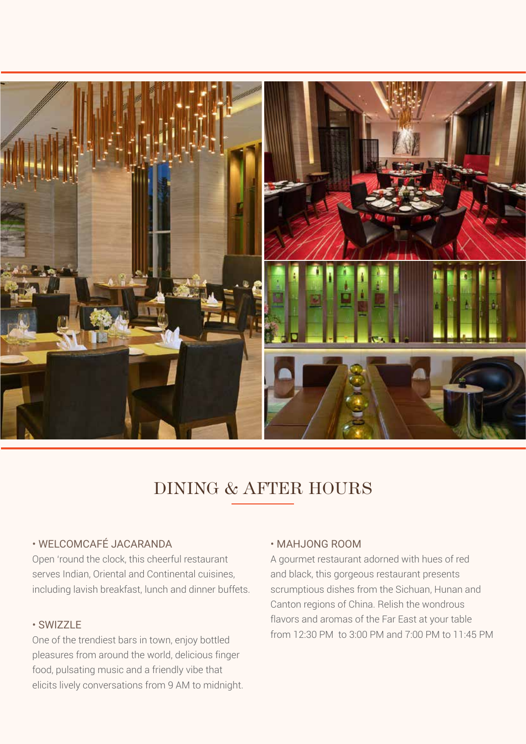

# DINING & AFTER HOURS

### • WELCOMCAFÉ JACARANDA

Open 'round the clock, this cheerful restaurant serves Indian, Oriental and Continental cuisines, including lavish breakfast, lunch and dinner buffets.

## • SWIZZLE

One of the trendiest bars in town, enjoy bottled pleasures from around the world, delicious finger food, pulsating music and a friendly vibe that elicits lively conversations from 9 AM to midnight.

#### • MAHJONG ROOM

A gourmet restaurant adorned with hues of red and black, this gorgeous restaurant presents scrumptious dishes from the Sichuan, Hunan and Canton regions of China. Relish the wondrous flavors and aromas of the Far East at your table from 12:30 PM to 3:00 PM and 7:00 PM to 11:45 PM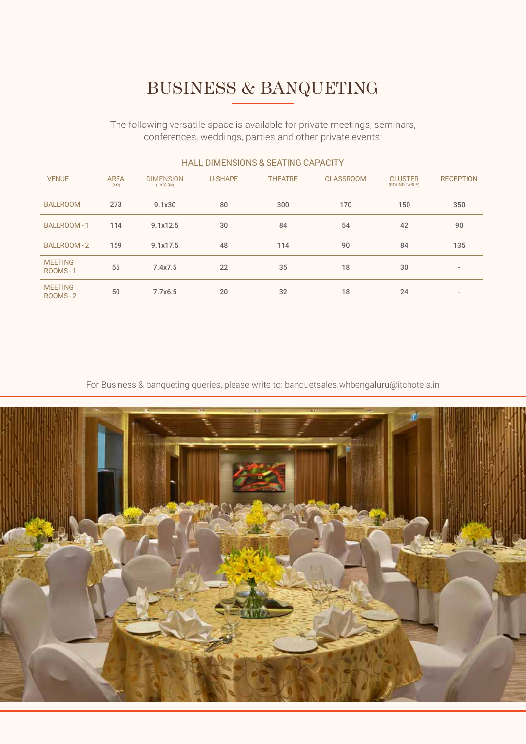# BUSINESS & BANQUETING

The following versatile space is available for private meetings, seminars, conferences, weddings, parties and other private events:

| <b>VENUE</b>              | <b>AREA</b><br>(M2) | <b>DIMENSION</b><br>$(LXB)$ (M) | <b>U-SHAPE</b> | <b>THEATRE</b> | <b>CLASSROOM</b> | <b>CLUSTER</b><br>(ROUND TABLE) | <b>RECEPTION</b>         |
|---------------------------|---------------------|---------------------------------|----------------|----------------|------------------|---------------------------------|--------------------------|
| <b>BALLROOM</b>           | 273                 | 9.1x30                          | 80             | 300            | 170              | 150                             | 350                      |
| <b>BALLROOM-1</b>         | 114                 | 9.1x12.5                        | 30             | 84             | 54               | 42                              | 90                       |
| BALLROOM-2                | 159                 | 9.1x17.5                        | 48             | 114            | 90               | 84                              | 135                      |
| <b>MEETING</b><br>ROOMS-1 | 55                  | 7.4x7.5                         | 22             | 35             | 18               | 30                              | $\overline{\phantom{a}}$ |
| <b>MEETING</b><br>ROOMS-2 | 50                  | 7.7x6.5                         | 20             | 32             | 18               | 24                              | $\overline{\phantom{a}}$ |

#### HALL DIMENSIONS & SEATING CAPACITY

For Business & banqueting queries, please write to: banquetsales.whbengaluru@itchotels.in

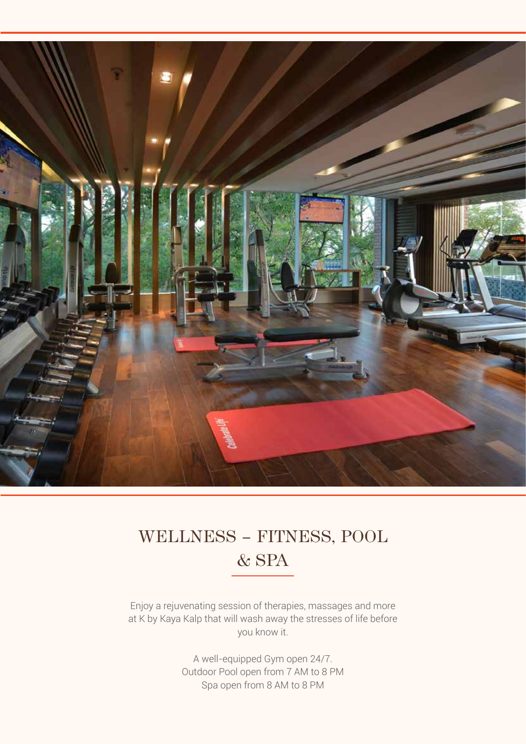

# WELLNESS – FITNESS, POOL & SPA

Enjoy a rejuvenating session of therapies, massages and more at K by Kaya Kalp that will wash away the stresses of life before you know it.

> A well-equipped Gym open 24/7. Outdoor Pool open from 7 AM to 8 PM Spa open from 8 AM to 8 PM